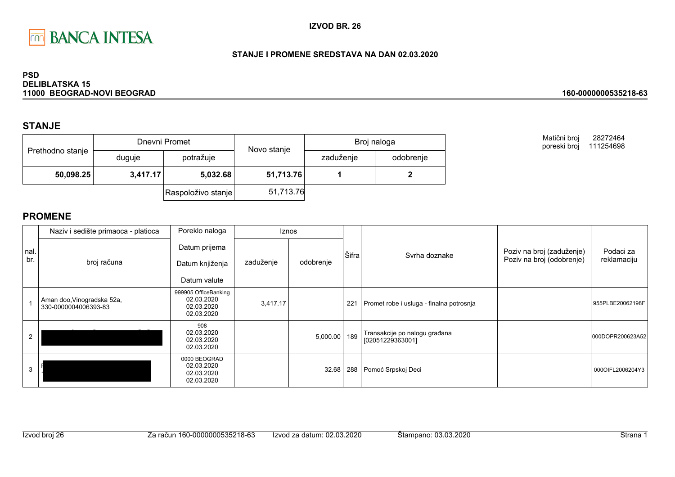

### STANJE I PROMENE SREDSTAVA NA DAN 02.03.2020

#### **PSD DELIBLATSKA 15** 11000 BEOGRAD-NOVI BEOGRAD

# **STANJE**

| Prethodno stanje |          | Dnevni Promet      | Novo stanje | Broj naloga |           |  |
|------------------|----------|--------------------|-------------|-------------|-----------|--|
|                  | duguje   | potražuje          |             | zaduženje   | odobrenje |  |
| 50,098.25        | 3,417.17 | 5,032.68           | 51,713.76   |             |           |  |
|                  |          | Raspoloživo stanje | 51,713.76   |             |           |  |

Matični broj 28272464 poreski broj 111254698

160-0000000535218-63

|             | Naziv i sedište primaoca - platioca                | Poreklo naloga                                                 |           | <b>Iznos</b> |       |                                                   |                                                        |                          |
|-------------|----------------------------------------------------|----------------------------------------------------------------|-----------|--------------|-------|---------------------------------------------------|--------------------------------------------------------|--------------------------|
| nal.<br>br. | broj računa                                        | Datum prijema<br>Datum knjiženja<br>Datum valute               | zaduženje | odobrenje    | Šifra | Syrha doznake                                     | Poziv na broj (zaduženje)<br>Poziv na broj (odobrenje) | Podaci za<br>reklamaciju |
|             | Aman doo, Vinogradska 52a,<br>330-0000004006393-83 | 999905 OfficeBanking<br>02.03.2020<br>02.03.2020<br>02.03.2020 | 3,417.17  |              | 221   | Promet robe i usluga - finalna potrosnja          |                                                        | 955PLBE20062198F         |
|             |                                                    | 908<br>02.03.2020<br>02.03.2020<br>02.03.2020                  |           | 5,000.00     | 189   | Transakcije po nalogu građana<br>[02051229363001] |                                                        | 000DOPR200623A52         |
|             |                                                    | 0000 BEOGRAD<br>02.03.2020<br>02.03.2020<br>02.03.2020         |           | 32.68        | 288   | Pomoć Srpskoj Deci                                |                                                        | 000OIFL2006204Y3         |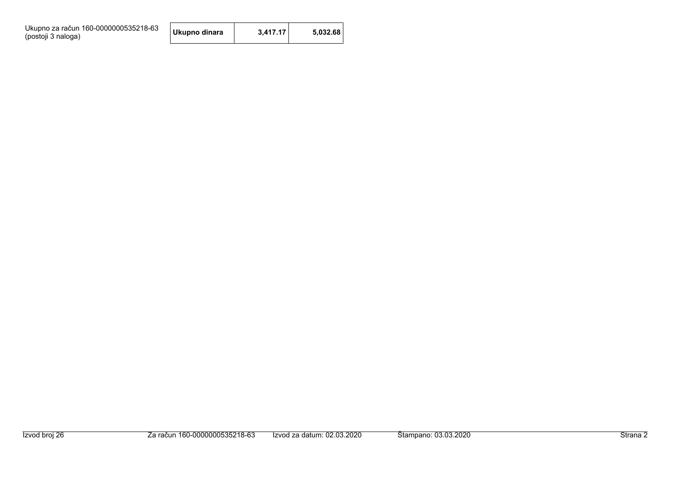Ukupno za račun 160-0000000535218-63<br>(postoji 3 naloga)

| 3.417.17<br>5,032.68<br>Ukupno dinara |
|---------------------------------------|
|---------------------------------------|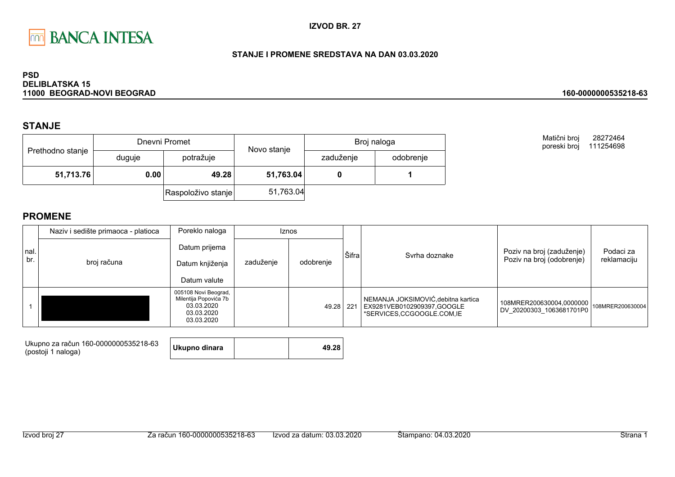

### STANJE I PROMENE SREDSTAVA NA DAN 03.03.2020

#### **PSD DELIBLATSKA 15** 11000 BEOGRAD-NOVI BEOGRAD

## **STANJE**

| Prethodno stanje |        | Dnevni Promet      | Novo stanje | Broj naloga |           |  |
|------------------|--------|--------------------|-------------|-------------|-----------|--|
|                  | duguje | potražuje          |             | zaduženje   | odobrenje |  |
| 51,713.76        | 0.00   | 49.28              | 51,763.04   |             |           |  |
|                  |        | Raspoloživo stanje | 51,763.04   |             |           |  |

Matični broj 28272464 poreski broj 111254698

160-0000000535218-63

|      | Naziv i sedište primaoca - platioca | Poreklo naloga<br>Iznos                                                                 |           |           |       |                                                                                                |                                                        |                          |
|------|-------------------------------------|-----------------------------------------------------------------------------------------|-----------|-----------|-------|------------------------------------------------------------------------------------------------|--------------------------------------------------------|--------------------------|
| nal. |                                     | Datum prijema                                                                           |           |           | Šifra | Syrha doznake                                                                                  | Poziv na broj (zaduženje)<br>Poziv na broj (odobrenje) | Podaci za<br>reklamaciju |
| br.  | broj računa                         | Datum knjiženja                                                                         | zaduženje | odobrenje |       |                                                                                                |                                                        |                          |
|      |                                     | Datum valute                                                                            |           |           |       |                                                                                                |                                                        |                          |
|      |                                     | 005108 Novi Beograd,<br>Milentija Popovića 7b<br>03.03.2020<br>03.03.2020<br>03.03.2020 |           | 49.28 221 |       | NEMANJA JOKSIMOVIĆ, debitna kartica<br>EX9281VEB0102909397,GOOGLE<br>*SERVICES,CCGOOGLE.COM,IE | 108MRER200630004,0000000<br>DV_20200303_1063681701P0   | 108MRER200630004         |

| Ukupno za račun 160-0000000535218-63<br>(postoji 1 naloga) | Ukupno dinara |  | 49.28 |
|------------------------------------------------------------|---------------|--|-------|
|------------------------------------------------------------|---------------|--|-------|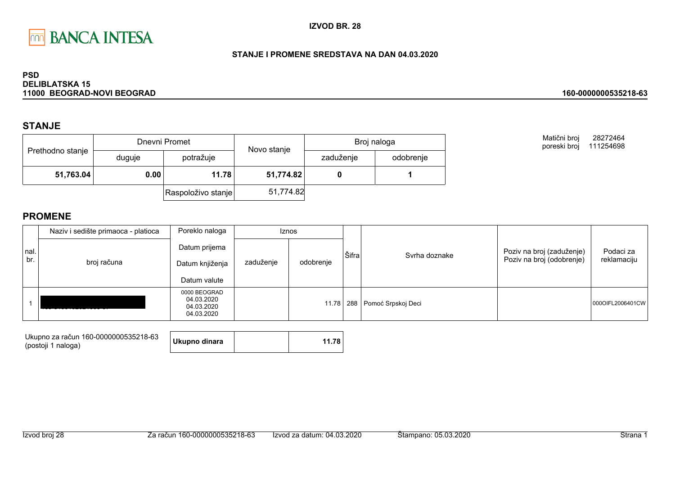

### STANJE I PROMENE SREDSTAVA NA DAN 04.03.2020

#### **PSD DELIBLATSKA 15** 11000 BEOGRAD-NOVI BEOGRAD

## **STANJE**

| Prethodno stanje |               | Dnevni Promet      | Novo stanje | Broj naloga |           |  |
|------------------|---------------|--------------------|-------------|-------------|-----------|--|
|                  | duguje        | potražuje          |             | zaduženje   | odobrenje |  |
| 51,763.04        | 0.00<br>11.78 |                    | 51,774.82   |             |           |  |
|                  |               | Raspoloživo stanje | 51,774.82   |             |           |  |

Matični broj 28272464 poreski broj 111254698

160-0000000535218-63

|             | Naziv i sedište primaoca - platioca | Poreklo naloga                                         | Iznos     |           |       |                                  |                                                        |                          |
|-------------|-------------------------------------|--------------------------------------------------------|-----------|-----------|-------|----------------------------------|--------------------------------------------------------|--------------------------|
| nal.<br>br. | broj računa                         | Datum prijema<br>Datum knjiženja<br>Datum valute       | zaduženje | odobrenje | Šifra | Svrha doznake                    | Poziv na broj (zaduženje)<br>Poziv na broj (odobrenje) | Podaci za<br>reklamaciju |
|             |                                     | 0000 BEOGRAD<br>04.03.2020<br>04.03.2020<br>04.03.2020 |           |           |       | 11.78   288   Pomoć Srpskoj Deci |                                                        | 0000IFL2006401CW         |

| Ukupno za račun 160-0000000535218-63<br>(postoji 1 naloga) | Ukupno dinara | 11.78 |
|------------------------------------------------------------|---------------|-------|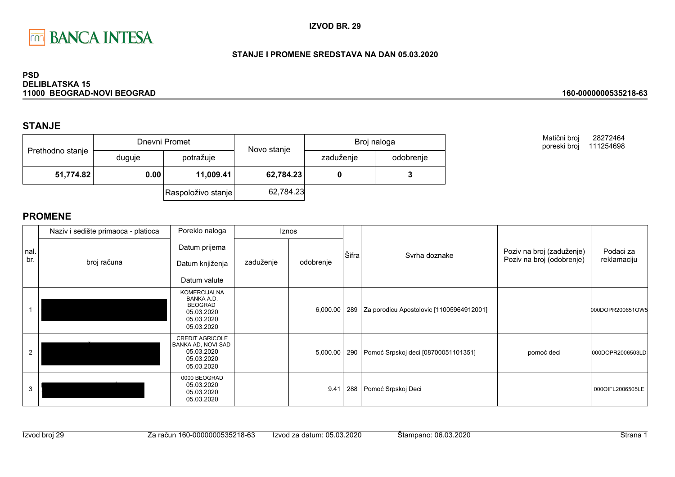

### STANJE I PROMENE SREDSTAVA NA DAN 05.03.2020

#### **PSD DELIBLATSKA 15** 11000 BEOGRAD-NOVI BEOGRAD

## **STANJE**

| Prethodno stanje |        | Dnevni Promet      | Novo stanje | Broj naloga |           |  |
|------------------|--------|--------------------|-------------|-------------|-----------|--|
|                  | duguje | potražuje          |             | zaduženje   | odobrenje |  |
| 51,774.82        | 0.00   | 11,009.41          | 62,784.23   |             |           |  |
|                  |        | Raspoloživo stanje | 62,784.23   |             |           |  |

Matični broj 28272464 poreski broj 111254698

160-0000000535218-63

|            | Naziv i sedište primaoca - platioca | Poreklo naloga                                                                                       |           | <b>Iznos</b> |       |                                              |                                                        |                          |
|------------|-------------------------------------|------------------------------------------------------------------------------------------------------|-----------|--------------|-------|----------------------------------------------|--------------------------------------------------------|--------------------------|
| nal<br>br. | broj računa                         | Datum prijema<br>Datum knjiženja<br>Datum valute                                                     | zaduženje | odobrenje    | Šifra | Syrha doznake                                | Poziv na broj (zaduženje)<br>Poziv na broj (odobrenje) | Podaci za<br>reklamaciju |
|            |                                     | <b>KOMERCIJALNA</b><br><b>BANKA A.D.</b><br><b>BEOGRAD</b><br>05.03.2020<br>05.03.2020<br>05.03.2020 |           | 6,000.00     |       | 289 Za porodicu Apostolovic [11005964912001] |                                                        | 000DOPR200651OW5         |
| 2          |                                     | <b>CREDIT AGRICOLE</b><br>BANKA AD, NOVI SAD<br>05.03.2020<br>05.03.2020<br>05.03.2020               |           | 5,000.00     | 290   | Pomoć Srpskoj deci [08700051101351]          | pomoć deci                                             | 000DOPR2006503LD         |
| 3          |                                     | 0000 BEOGRAD<br>05.03.2020<br>05.03.2020<br>05.03.2020                                               |           | 9.41         | 288   | Pomoć Srpskoj Deci                           |                                                        | 000OIFL2006505LE         |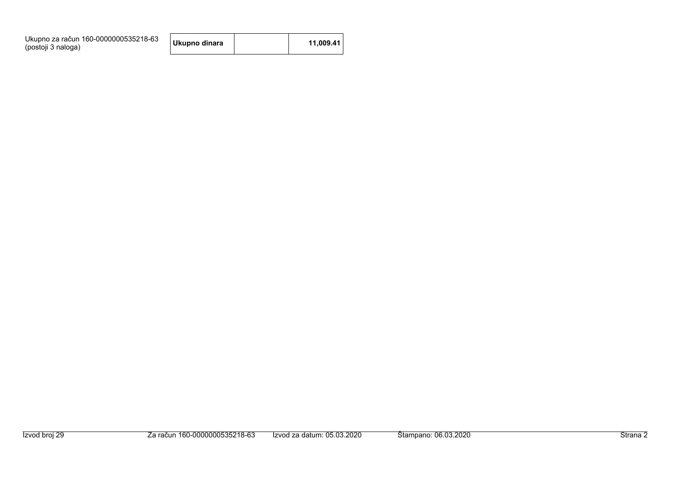| Ukupno za račun 160-0000000535218-63<br>(postoji 3 naloga) | Ukupno dinara |  | 11.009.41 |  |
|------------------------------------------------------------|---------------|--|-----------|--|
|------------------------------------------------------------|---------------|--|-----------|--|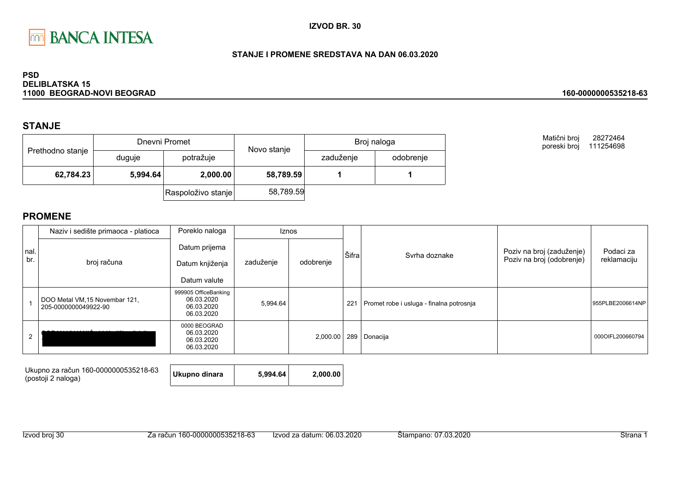

### STANJE I PROMENE SREDSTAVA NA DAN 06.03.2020

#### **PSD DELIBLATSKA 15** 11000 BEOGRAD-NOVI BEOGRAD

# **STANJE**

| Prethodno stanje |          | Dnevni Promet      | Novo stanje | Broj naloga |           |  |
|------------------|----------|--------------------|-------------|-------------|-----------|--|
|                  | duguje   | potražuje          |             | zaduženje   | odobrenje |  |
| 62,784.23        | 5,994.64 | 2,000.00           | 58,789.59   |             |           |  |
|                  |          | Raspoloživo stanje | 58,789.59   |             |           |  |

Matični broj 28272464 poreski broj 111254698

160-0000000535218-63

|      | Naziv i sedište primaoca - platioca                    | Poreklo naloga                                                 |           | Iznos     |       |                                          |                           |                  |
|------|--------------------------------------------------------|----------------------------------------------------------------|-----------|-----------|-------|------------------------------------------|---------------------------|------------------|
| nal. |                                                        | Datum prijema                                                  |           |           | Šifra |                                          | Poziv na broj (zaduženje) | Podaci za        |
| br.  | broj računa                                            | Datum knjiženja                                                | zaduženje | odobrenje |       | Svrha doznake                            | Poziv na broj (odobrenje) | reklamaciju      |
|      |                                                        | Datum valute                                                   |           |           |       |                                          |                           |                  |
|      | DOO Metal VM, 15 Novembar 121,<br>205-0000000049922-90 | 999905 OfficeBanking<br>06.03.2020<br>06.03.2020<br>06.03.2020 | 5,994.64  |           | 221   | Promet robe i usluga - finalna potrosnja |                           | 955PLBE2006614NP |
|      |                                                        | 0000 BEOGRAD<br>06.03.2020<br>06.03.2020<br>06.03.2020         |           | 2,000.00  |       | 289 Donacija                             |                           | 000OIFL200660794 |

| Ukupno za račun 160-0000000535218-63<br>(postoji 2 naloga) | Ukupno dinara | 5.994.64 | 2.000.00 |
|------------------------------------------------------------|---------------|----------|----------|
|------------------------------------------------------------|---------------|----------|----------|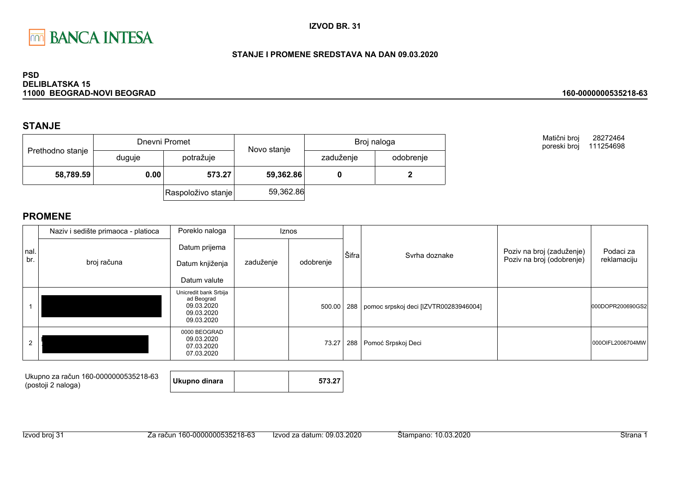

### STANJE I PROMENE SREDSTAVA NA DAN 09.03.2020

#### **PSD DELIBLATSKA 15** 11000 BEOGRAD-NOVI BEOGRAD

## **STANJE**

| Prethodno stanje  |        | Dnevni Promet      | Novo stanje | Broj naloga |           |  |
|-------------------|--------|--------------------|-------------|-------------|-----------|--|
|                   | duguje | potražuje          |             | zaduženje   | odobrenje |  |
| 58,789.59<br>0.00 |        | 573.27             | 59,362.86   |             |           |  |
|                   |        | Raspoloživo stanje | 59,362.86   |             |           |  |

Matični broj 28272464 poreski broj 111254698

160-0000000535218-63

|             | Naziv i sedište primaoca - platioca | Poreklo naloga<br><b>Iznos</b>                                                |           |           |       |                                       |                           |                  |
|-------------|-------------------------------------|-------------------------------------------------------------------------------|-----------|-----------|-------|---------------------------------------|---------------------------|------------------|
| nal.<br>br. |                                     | Datum prijema                                                                 |           |           | Sifra | Svrha doznake                         | Poziv na broj (zaduženje) | Podaci za        |
|             | broj računa                         | Datum knjiženja                                                               | zaduženje | odobrenje |       |                                       | Poziv na broj (odobrenje) | reklamaciju      |
|             |                                     | Datum valute                                                                  |           |           |       |                                       |                           |                  |
|             |                                     | Unicredit bank Srbija<br>ad Beograd<br>09.03.2020<br>09.03.2020<br>09.03.2020 |           | 500.00    | 288   | pomoc srpskoj deci [IZVTR00283946004] |                           | 000DOPR200690GS2 |
|             |                                     | 0000 BEOGRAD<br>09.03.2020<br>07.03.2020<br>07.03.2020                        |           | 73.27     | 288   | Pomoć Srpskoj Deci                    |                           | 0000IFL2006704MW |

| Ukupno za račun 160-0000000535218-63<br>(postoji 2 naloga) | Ukupno dinara |  | 573.27 |  |
|------------------------------------------------------------|---------------|--|--------|--|
|------------------------------------------------------------|---------------|--|--------|--|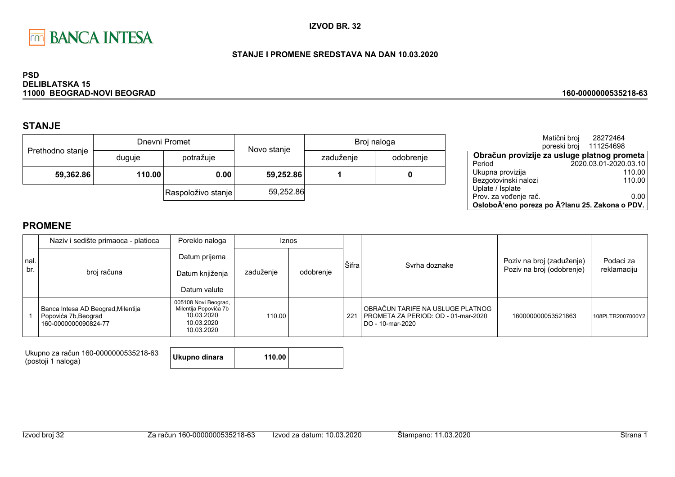

### STANJE I PROMENE SREDSTAVA NA DAN 10.03.2020

#### **PSD DELIBLATSKA 15** 11000 BEOGRAD-NOVI BEOGRAD

# **STANJE**

| Prethodno stanje |                     | Dnevni Promet      | Novo stanje | Broj naloga |           |  |
|------------------|---------------------|--------------------|-------------|-------------|-----------|--|
|                  | duguje              | potražuje          |             | zaduženje   | odobrenje |  |
|                  | 59,362.86<br>110.00 |                    | 59,252.86   |             |           |  |
|                  |                     | Raspoloživo stanje | 59,252.86   |             |           |  |

|                                                | Matični broj | 28272464              |        |
|------------------------------------------------|--------------|-----------------------|--------|
|                                                | poreski broj | 111254698             |        |
| Obračun provizije za usluge platnog prometa    |              |                       |        |
| Period                                         |              | 2020.03.01-2020.03.10 |        |
| Ukupna provizija                               |              |                       | 110.00 |
| Bezgotovinski nalozi                           |              |                       | 110.00 |
| Uplate / Isplate                               |              |                       |        |
| Prov. za vođenje rač.                          |              |                       | 0.00   |
| OsloboÄ'eno poreza po Ä?lanu 25. Zakona o PDV. |              |                       |        |

160-0000000535218-63

# **PROMENE**

|             | Poreklo naloga<br>Naziv i sedište primaoca - platioca                              |                                                                                         | <b>Iznos</b> |           |       |                                                                                             |                                                        |                          |
|-------------|------------------------------------------------------------------------------------|-----------------------------------------------------------------------------------------|--------------|-----------|-------|---------------------------------------------------------------------------------------------|--------------------------------------------------------|--------------------------|
| nal.<br>br. | broj računa                                                                        | Datum prijema<br>Datum knjiženja<br>Datum valute                                        | zaduženje    | odobrenje | Šifra | Syrha doznake                                                                               | Poziv na broj (zaduženje)<br>Poziv na broj (odobrenje) | Podaci za<br>reklamaciju |
|             | Banca Intesa AD Beograd, Milentija<br>Popovića 7b, Beograd<br>160-0000000090824-77 | 005108 Novi Beograd,<br>Milentija Popovića 7b<br>10.03.2020<br>10.03.2020<br>10.03.2020 | 110.00       |           | 221   | OBRAČUN TARIFE NA USLUGE PLATNOG<br>PROMETA ZA PERIOD: OD - 01-mar-2020<br>DO - 10-mar-2020 | 160000000053521863                                     | 108PLTR2007000Y2         |

Ukupno za račun 160-0000000535218-63 **Ukupno dinara** (postoji 1 naloga)

110.00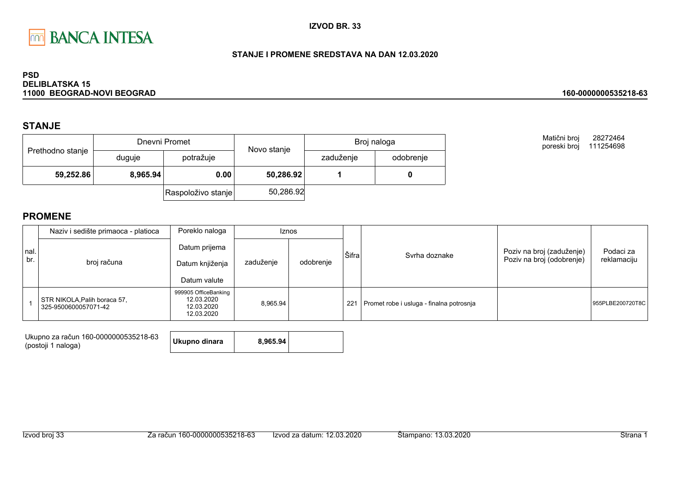

### STANJE I PROMENE SREDSTAVA NA DAN 12.03.2020

#### **PSD DELIBLATSKA 15** 11000 BEOGRAD-NOVI BEOGRAD

## **STANJE**

| Prethodno stanje |          | Dnevni Promet      | Novo stanje | Broj naloga |           |  |
|------------------|----------|--------------------|-------------|-------------|-----------|--|
|                  | duguje   | potražuje          |             | zaduženje   | odobrenje |  |
| 59,252.86        | 8,965.94 | 0.00               | 50,286.92   |             |           |  |
|                  |          | Raspoloživo stanje | 50,286.92   |             |           |  |

Matični broj 28272464 poreski broj 111254698

160-0000000535218-63

|              | Naziv i sedište primaoca - platioca                  | Poreklo naloga<br><b>Iznos</b>                                 |           |           |       |                                          |                                                        |                          |
|--------------|------------------------------------------------------|----------------------------------------------------------------|-----------|-----------|-------|------------------------------------------|--------------------------------------------------------|--------------------------|
| Inal.<br>br. | broj računa                                          | Datum prijema<br>Datum knjiženja<br>Datum valute               | zaduženje | odobrenje | Šifra | Svrha doznake                            | Poziv na broj (zaduženje)<br>Poziv na broj (odobrenje) | Podaci za<br>reklamaciju |
|              | STR NIKOLA, Palih boraca 57,<br>325-9500600057071-42 | 999905 OfficeBanking<br>12.03.2020<br>12.03.2020<br>12.03.2020 | 8.965.94  |           | 221   | Promet robe i usluga - finalna potrosnja |                                                        | 955PLBE200720T8C         |

| Ukupno za račun 160-0000000535218-63 | Ukupno dinara | 8.965.94 |  |
|--------------------------------------|---------------|----------|--|
| (postoji 1 naloga)                   |               |          |  |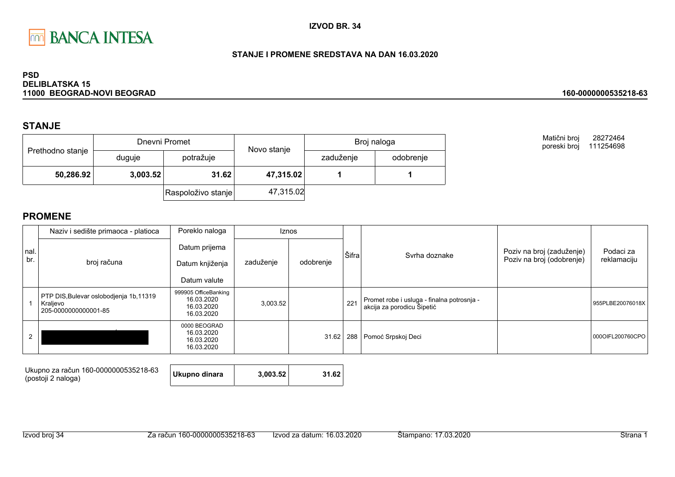

### STANJE I PROMENE SREDSTAVA NA DAN 16.03.2020

#### **PSD DELIBLATSKA 15** 11000 BEOGRAD-NOVI BEOGRAD

## **STANJE**

|                  |          | Dnevni Promet      | Novo stanje |           | Broj naloga |
|------------------|----------|--------------------|-------------|-----------|-------------|
| Prethodno stanje | duguje   | potražuje          |             | zaduženje | odobrenje   |
| 50,286.92        | 3,003.52 | 31.62              | 47,315.02   |           |             |
|                  |          | Raspoloživo stanje | 47,315.02   |           |             |

Matični broj 28272464 poreski broj 111254698

160-0000000535218-63

|      | Naziv i sedište primaoca - platioca                                         | Poreklo naloga                                                 |           | <b>Iznos</b> |       |                                                                          |                           |                  |
|------|-----------------------------------------------------------------------------|----------------------------------------------------------------|-----------|--------------|-------|--------------------------------------------------------------------------|---------------------------|------------------|
| nal. |                                                                             | Datum prijema                                                  |           |              | Šifra |                                                                          | Poziv na broj (zaduženje) | Podaci za        |
| br.  | broj računa                                                                 | Datum knjiženja                                                | zaduženje | odobrenje    |       | Syrha doznake                                                            | Poziv na broj (odobrenje) | reklamaciju      |
|      |                                                                             | Datum valute                                                   |           |              |       |                                                                          |                           |                  |
|      | PTP DIS, Bulevar oslobodjenja 1b, 11319<br>Kraljevo<br>205-0000000000001-85 | 999905 OfficeBanking<br>16.03.2020<br>16.03.2020<br>16.03.2020 | 3,003.52  |              | 221   | Promet robe i usluga - finalna potrosnja -<br>akcija za porodicu Šipetić |                           | 955PLBE20076018X |
|      |                                                                             | 0000 BEOGRAD<br>16.03.2020<br>16.03.2020<br>16.03.2020         |           | 31.62        | 288   | Pomoć Srpskoj Deci                                                       |                           | 0000IFL200760CPO |

| Ukupno za račun 160-0000000535218-63<br>(postoji 2 naloga) | Ukupno dinara | 3.003.52 | 31.62 |
|------------------------------------------------------------|---------------|----------|-------|
|------------------------------------------------------------|---------------|----------|-------|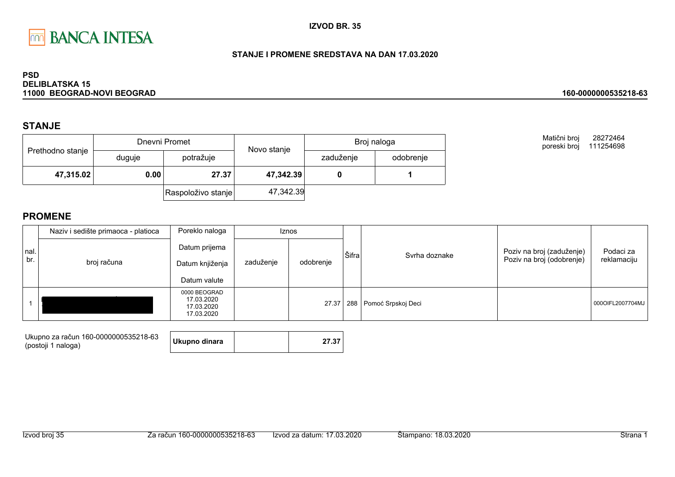

### STANJE I PROMENE SREDSTAVA NA DAN 17.03.2020

#### **PSD DELIBLATSKA 15** 11000 BEOGRAD-NOVI BEOGRAD

## **STANJE**

|                  |        | Dnevni Promet      | Novo stanje | Broj naloga |           |  |
|------------------|--------|--------------------|-------------|-------------|-----------|--|
| Prethodno stanje | duguje | potražuje          |             | zaduženje   | odobrenje |  |
| 47,315.02        | 0.00   | 27.37              | 47,342.39   |             |           |  |
|                  |        | Raspoloživo stanje | 47,342.39   |             |           |  |

Matični broj 28272464 poreski broj 111254698

160-0000000535218-63

|             | Naziv i sedište primaoca - platioca | Poreklo naloga                                         |           | <b>Iznos</b> |       |                        |                                                        |                          |
|-------------|-------------------------------------|--------------------------------------------------------|-----------|--------------|-------|------------------------|--------------------------------------------------------|--------------------------|
| nal.<br>br. | broj računa                         | Datum prijema<br>Datum knjiženja<br>Datum valute       | zaduženje | odobrenje    | Šifra | Syrha doznake          | Poziv na broj (zaduženje)<br>Poziv na broj (odobrenje) | Podaci za<br>reklamaciju |
|             |                                     | 0000 BEOGRAD<br>17.03.2020<br>17.03.2020<br>17.03.2020 |           | 27.37        |       | 288 Pomoć Srpskoj Deci |                                                        | 000OIFL2007704MJ         |

| Ukupno za račun 160-0000000535218-63 | Ukupno dinara | 27.37 |
|--------------------------------------|---------------|-------|
| (postoji 1 naloga)                   |               |       |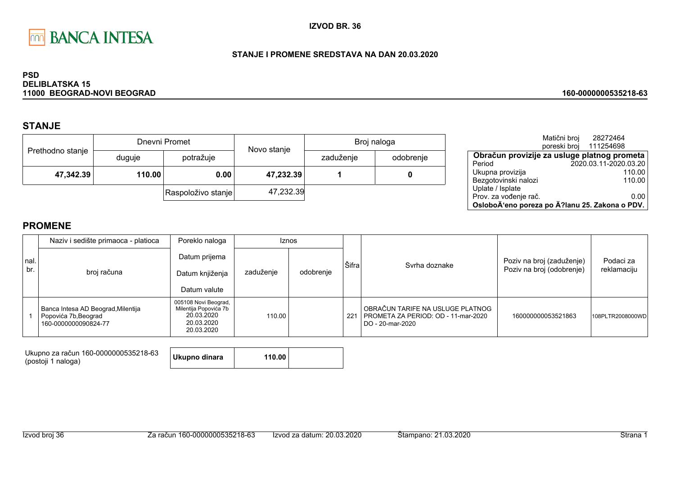

### STANJE I PROMENE SREDSTAVA NA DAN 20.03.2020

#### **PSD DELIBLATSKA 15** 11000 BEOGRAD-NOVI BEOGRAD

# **STANJE**

|                  |        | Dnevni Promet      | Novo stanje | Broj naloga |           |  |
|------------------|--------|--------------------|-------------|-------------|-----------|--|
| Prethodno stanje | duguje | potražuje          |             | zaduženje   | odobrenje |  |
| 47,342.39        | 110.00 | 0.00               | 47,232.39   |             |           |  |
|                  |        | Raspoloživo stanje | 47,232.39   |             |           |  |

|                                                | Matični broj | 28272464               |        |
|------------------------------------------------|--------------|------------------------|--------|
|                                                |              | poreski broj 111254698 |        |
| Obračun provizije za usluge platnog prometa    |              |                        |        |
| Period                                         |              | 2020.03.11-2020.03.20  |        |
| Ukupna provizija                               |              |                        | 110.00 |
| Bezgotovinski nalozi                           |              |                        | 110.00 |
| Uplate / Isplate                               |              |                        |        |
| Prov. za vođenje rač.                          |              |                        | 0.00   |
| OsloboÄ'eno poreza po Ä?lanu 25. Zakona o PDV. |              |                        |        |

160-0000000535218-63

# **PROMENE**

|             | Naziv i sedište primaoca - platioca                                                | Poreklo naloga                                                                          | <b>Iznos</b> |           |       |                                                                                             |                                                        |                          |
|-------------|------------------------------------------------------------------------------------|-----------------------------------------------------------------------------------------|--------------|-----------|-------|---------------------------------------------------------------------------------------------|--------------------------------------------------------|--------------------------|
| nal.<br>br. | broj računa                                                                        | Datum prijema<br>Datum knjiženja<br>Datum valute                                        | zaduženje    | odobrenje | Šifra | Syrha doznake                                                                               | Poziv na broj (zaduženje)<br>Poziv na broj (odobrenje) | Podaci za<br>reklamaciju |
|             | Banca Intesa AD Beograd, Milentija<br>Popovića 7b, Beograd<br>160-0000000090824-77 | 005108 Novi Beograd,<br>Milentija Popovića 7b<br>20.03.2020<br>20.03.2020<br>20.03.2020 | 110.00       |           | -221  | OBRAČUN TARIFE NA USLUGE PLATNOG<br>PROMETA ZA PERIOD: OD - 11-mar-2020<br>DO - 20-mar-2020 | 160000000053521863                                     | 108PLTR2008000WD         |

Ukupno za račun 160-0000000535218-63 (postoji 1 naloga)

**Ukupno dinara** 110.00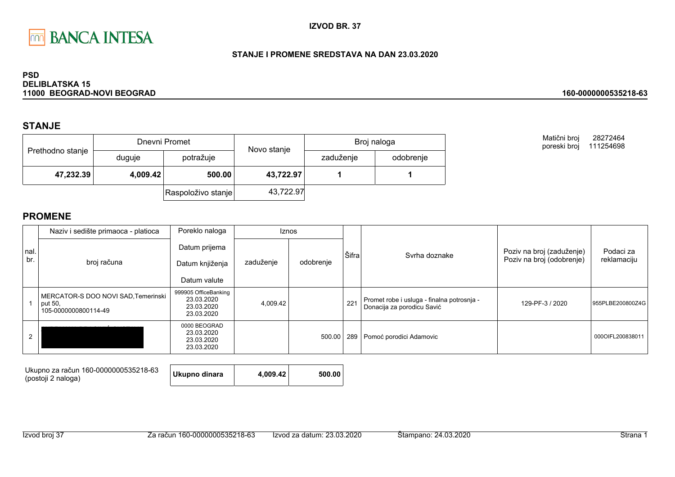

### STANJE I PROMENE SREDSTAVA NA DAN 23.03.2020

#### **PSD DELIBLATSKA 15** 11000 BEOGRAD-NOVI BEOGRAD

## **STANJE**

|                  |          | Dnevni Promet      | Novo stanje | Broj naloga |           |  |
|------------------|----------|--------------------|-------------|-------------|-----------|--|
| Prethodno stanje | duguje   | potražuje          |             | zaduženje   | odobrenje |  |
| 47,232.39        | 4,009.42 | 500.00             | 43,722.97   |             |           |  |
|                  |          | Raspoloživo stanje | 43,722.97   |             |           |  |

Matični broj 28272464 poreski broj 111254698

160-0000000535218-63

|      | Naziv i sedište primaoca - platioca                                    | Poreklo naloga                                                 |           | <b>Iznos</b> |       |                                                                          |                           |                  |
|------|------------------------------------------------------------------------|----------------------------------------------------------------|-----------|--------------|-------|--------------------------------------------------------------------------|---------------------------|------------------|
| nal. |                                                                        | Datum prijema                                                  |           |              | Šifra | Svrha doznake                                                            | Poziv na broj (zaduženje) | Podaci za        |
| br.  | broj računa                                                            | Datum knjiženja                                                | zaduženje | odobrenje    |       |                                                                          | Poziv na broj (odobrenje) | reklamaciju      |
|      |                                                                        | Datum valute                                                   |           |              |       |                                                                          |                           |                  |
|      | MERCATOR-S DOO NOVI SAD, Temerinski<br>put 50,<br>105-0000000800114-49 | 999905 OfficeBanking<br>23.03.2020<br>23.03.2020<br>23.03.2020 | 4,009.42  |              | 221   | Promet robe i usluga - finalna potrosnja -<br>Donacija za porodicu Savić | 129-PF-3 / 2020           | 955PLBE200800Z4G |
|      |                                                                        | 0000 BEOGRAD<br>23.03.2020<br>23.03.2020<br>23.03.2020         |           | 500.00       | 289   | Pomoć porodici Adamovic                                                  |                           | 000OIFL200838011 |

| Ukupno za račun 160-0000000535218-63<br>(postoji 2 naloga) | Ukupno dinara | 4.009.42 | 500.00 |
|------------------------------------------------------------|---------------|----------|--------|
|------------------------------------------------------------|---------------|----------|--------|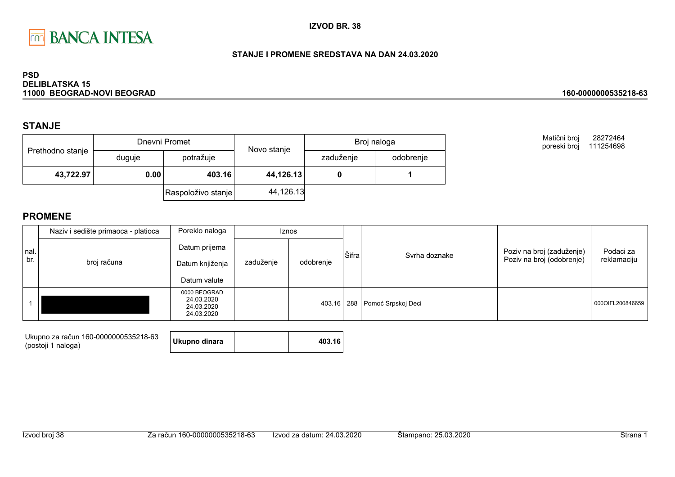

### STANJE I PROMENE SREDSTAVA NA DAN 24.03.2020

#### **PSD DELIBLATSKA 15** 11000 BEOGRAD-NOVI BEOGRAD

## **STANJE**

| Prethodno stanje |        | Dnevni Promet      | Novo stanje | Broj naloga |           |  |
|------------------|--------|--------------------|-------------|-------------|-----------|--|
|                  | duguje | potražuje          |             | zaduženje   | odobrenje |  |
| 43,722.97        | 0.00   | 403.16             | 44,126.13   |             |           |  |
|                  |        | Raspoloživo stanje | 44,126.13   |             |           |  |

Matični broj 28272464 poreski broj 111254698

160-0000000535218-63

|             | Naziv i sedište primaoca - platioca | Poreklo naloga                                         | Iznos     |           |       |                        |                                                        |                          |
|-------------|-------------------------------------|--------------------------------------------------------|-----------|-----------|-------|------------------------|--------------------------------------------------------|--------------------------|
| nal.<br>br. | broj računa                         | Datum prijema<br>Datum knjiženja<br>Datum valute       | zaduženje | odobrenje | Šifra | Syrha doznake          | Poziv na broj (zaduženje)<br>Poziv na broj (odobrenje) | Podaci za<br>reklamaciju |
|             |                                     | 0000 BEOGRAD<br>24.03.2020<br>24.03.2020<br>24.03.2020 |           | 403.16    |       | 288 Pomoć Srpskoj Deci |                                                        | 000OIFL200846659         |

| Ukupno za račun 160-0000000535218-63 | Ukupno dinara | 403.16 |
|--------------------------------------|---------------|--------|
| (postoji 1 naloga)                   |               |        |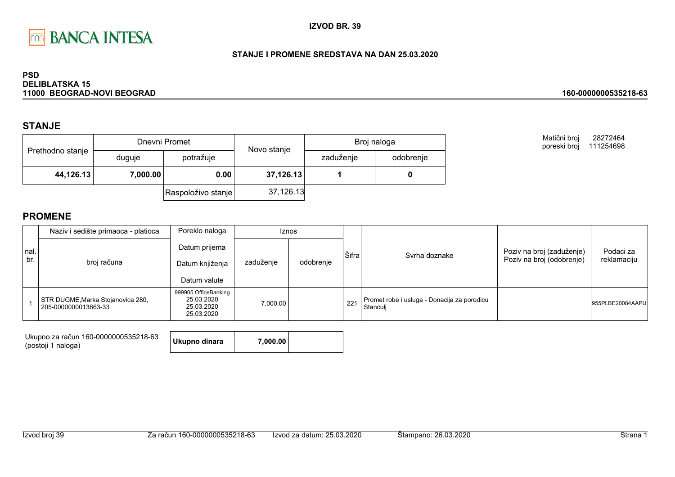

### STANJE I PROMENE SREDSTAVA NA DAN 25.03.2020

#### **PSD DELIBLATSKA 15** 11000 BEOGRAD-NOVI BEOGRAD

## **STANJE**

| Prethodno stanje |          | Dnevni Promet      | Novo stanje | Broj naloga |           |  |
|------------------|----------|--------------------|-------------|-------------|-----------|--|
|                  | duguje   | potražuje          |             | zaduženje   | odobrenje |  |
| 44,126.13        | 7,000.00 | 0.00               | 37,126.13   |             |           |  |
|                  |          | Raspoloživo stanje | 37,126.13   |             |           |  |

Matični broj 28272464 poreski broj 111254698

160-0000000535218-63

|              | Naziv i sedište primaoca - platioca                       | Poreklo naloga                                                 | <b>Iznos</b> |           |       |                                                         |                                                        |                          |
|--------------|-----------------------------------------------------------|----------------------------------------------------------------|--------------|-----------|-------|---------------------------------------------------------|--------------------------------------------------------|--------------------------|
| Inal.<br>br. | broj računa                                               | Datum prijema<br>zaduženje<br>Datum knjiženja<br>Datum valute  |              | odobrenje | Šifra | Syrha doznake                                           | Poziv na broj (zaduženje)<br>Poziv na broj (odobrenje) | Podaci za<br>reklamaciju |
|              | STR DUGME, Marka Stojanovica 280,<br>205-0000000013663-33 | 999905 OfficeBanking<br>25.03.2020<br>25.03.2020<br>25.03.2020 | 7,000.00     |           | 221   | Promet robe i usluga - Donacija za porodicu<br>Stanculi |                                                        | 955PLBE20084AAPU         |

| Ukupno za račun 160-0000000535218-63<br>(postoji 1 naloga) | Ukupno dinara | 7,000.00 |  |
|------------------------------------------------------------|---------------|----------|--|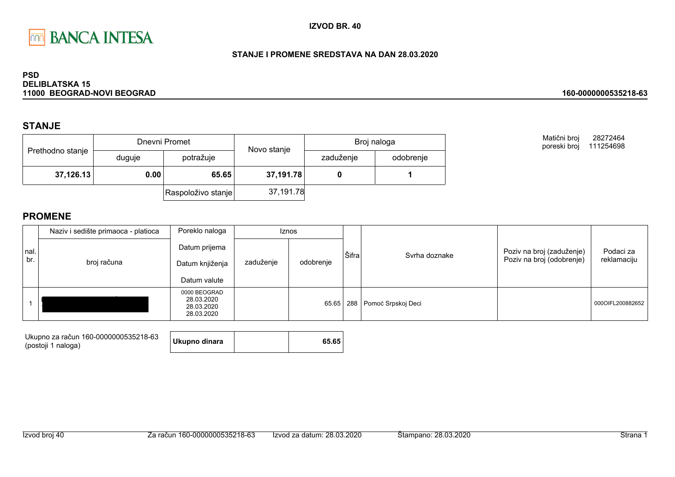

### STANJE I PROMENE SREDSTAVA NA DAN 28.03.2020

#### **PSD DELIBLATSKA 15** 11000 BEOGRAD-NOVI BEOGRAD

## **STANJE**

| Prethodno stanje |        | Dnevni Promet      | Novo stanje | Broj naloga |           |  |
|------------------|--------|--------------------|-------------|-------------|-----------|--|
|                  | duguje | potražuje          |             | zaduženje   | odobrenje |  |
| 37,126.13        | 0.00   | 65.65              | 37,191.78   |             |           |  |
|                  |        | Raspoloživo stanje | 37,191.78   |             |           |  |

Matični broj 28272464 poreski broj 111254698

160-0000000535218-63

|             | Naziv i sedište primaoca - platioca | Poreklo naloga                                         | <b>Iznos</b>           |       |       |                        |                                                        |                          |
|-------------|-------------------------------------|--------------------------------------------------------|------------------------|-------|-------|------------------------|--------------------------------------------------------|--------------------------|
| nal.<br>br. | broj računa                         | Datum prijema<br>Datum knjiženja<br>Datum valute       | zaduženje<br>odobrenje |       | Šifra | Svrha doznake          | Poziv na broj (zaduženje)<br>Poziv na broj (odobrenje) | Podaci za<br>reklamaciju |
|             |                                     | 0000 BEOGRAD<br>28.03.2020<br>28.03.2020<br>28.03.2020 |                        | 65.65 |       | 288 Pomoć Srpskoj Deci |                                                        | 000OIFL200882652         |

| Ukupno za račun 160-0000000535218-63 | Ukupno dinara | 65.65 |
|--------------------------------------|---------------|-------|
| (postoji 1 naloga)                   |               |       |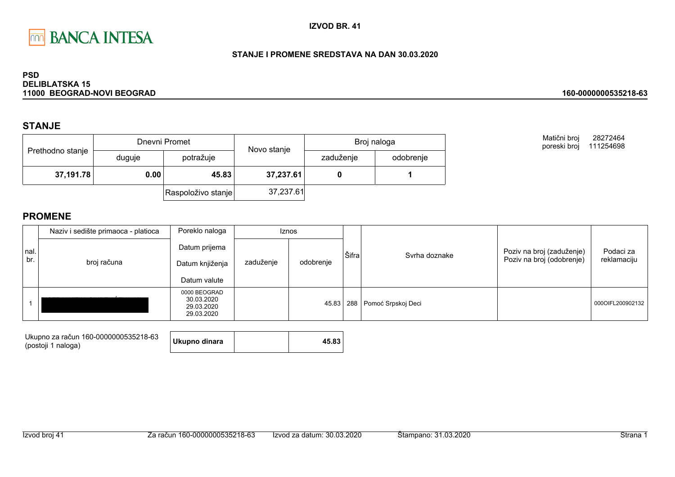

### STANJE I PROMENE SREDSTAVA NA DAN 30.03.2020

#### **PSD DELIBLATSKA 15** 11000 BEOGRAD-NOVI BEOGRAD

## **STANJE**

| Prethodno stanje |        | Dnevni Promet      | Novo stanje | Broj naloga |           |  |
|------------------|--------|--------------------|-------------|-------------|-----------|--|
|                  | duguje | potražuje          |             | zaduženje   | odobrenje |  |
| 37,191.78        | 0.00   | 45.83              | 37,237.61   |             |           |  |
|                  |        | Raspoloživo stanje | 37,237.61   |             |           |  |

Matični broj 28272464 poreski broj 111254698

160-0000000535218-63

|             | Naziv i sedište primaoca - platioca | Poreklo naloga                                         | <b>Iznos</b> |           |       |                        |                                                        |                          |
|-------------|-------------------------------------|--------------------------------------------------------|--------------|-----------|-------|------------------------|--------------------------------------------------------|--------------------------|
| nal.<br>br. | broj računa                         | Datum prijema<br>Datum knjiženja<br>Datum valute       | zaduženje    | odobrenje | Šifra | Syrha doznake          | Poziv na broj (zaduženje)<br>Poziv na broj (odobrenje) | Podaci za<br>reklamaciju |
|             |                                     | 0000 BEOGRAD<br>30.03.2020<br>29.03.2020<br>29.03.2020 |              | 45.83     |       | 288 Pomoć Srpskoj Deci |                                                        | 000OIFL200902132         |

| Ukupno za račun 160-0000000535218-63 |               |       |
|--------------------------------------|---------------|-------|
| (postoji 1 naloga)                   | Ukupno dinara | 45.83 |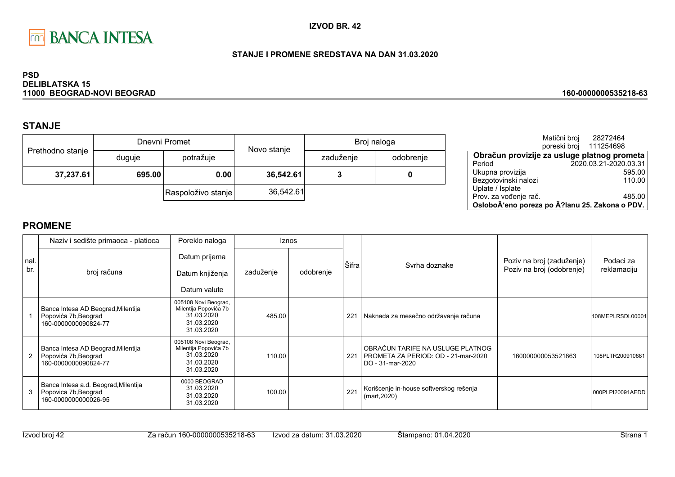

### STANJE I PROMENE SREDSTAVA NA DAN 31.03.2020

#### **PSD DELIBLATSKA 15** 11000 BEOGRAD-NOVI BEOGRAD

# **STANJE**

|                  | Dnevni Promet |                    | Novo stanje | Broj naloga |           |  |
|------------------|---------------|--------------------|-------------|-------------|-----------|--|
| Prethodno stanje | duguje        | potražuje          |             | zaduženje   | odobrenje |  |
| 37,237.61        | 695.00        | 0.00               | 36,542.61   |             | 0         |  |
|                  |               | Raspoloživo stanje | 36,542.61   |             |           |  |

|                                                | Matični broj<br>poreski broj | 28272464<br>111254698 |        |
|------------------------------------------------|------------------------------|-----------------------|--------|
| Obračun provizije za usluge platnog prometa    |                              |                       |        |
| Period                                         |                              | 2020.03.21-2020.03.31 |        |
| Ukupna provizija                               |                              |                       | 595.00 |
| Bezgotovinski nalozi                           |                              |                       | 110.00 |
| Uplate / Isplate                               |                              |                       |        |
| Prov. za vođenje rač.                          |                              |                       | 485.00 |
| OsloboÄ'eno poreza po Ä?lanu 25. Zakona o PDV. |                              |                       |        |

160-0000000535218-63

|             | Poreklo naloga<br>Naziv i sedište primaoca - platioca                                |                                                                                         |           | <b>Iznos</b> |       |                                                                                             |                                                        |                          |
|-------------|--------------------------------------------------------------------------------------|-----------------------------------------------------------------------------------------|-----------|--------------|-------|---------------------------------------------------------------------------------------------|--------------------------------------------------------|--------------------------|
| nal.<br>br. | broj računa                                                                          | Datum prijema<br>Datum knjiženja<br>Datum valute                                        | zaduženje | odobrenje    | Šifra | Syrha doznake                                                                               | Poziv na broj (zaduženje)<br>Poziv na broj (odobrenje) | Podaci za<br>reklamaciju |
|             | Banca Intesa AD Beograd, Milentija<br>Popovića 7b, Beograd<br>160-0000000090824-77   | 005108 Novi Beograd,<br>Milentija Popovića 7b<br>31.03.2020<br>31.03.2020<br>31.03.2020 | 485.00    |              | 221   | Naknada za mesečno održavanje računa                                                        |                                                        | 108MEPLRSDL00001         |
|             | Banca Intesa AD Beograd, Milentija<br>Popovića 7b, Beograd<br>160-0000000090824-77   | 005108 Novi Beograd,<br>Milentija Popovića 7b<br>31.03.2020<br>31.03.2020<br>31.03.2020 | 110.00    |              | 221   | OBRAČUN TARIFE NA USLUGE PLATNOG<br>PROMETA ZA PERIOD: OD - 21-mar-2020<br>DO - 31-mar-2020 | 160000000053521863                                     | 108PLTR200910881         |
|             | Banca Intesa a.d. Beograd, Milentija<br>Popovica 7b, Beograd<br>160-0000000000026-95 | 0000 BEOGRAD<br>31.03.2020<br>31.03.2020<br>31.03.2020                                  | 100.00    |              | 221   | Korišcenje in-house softverskog rešenja<br>(mart, 2020)                                     |                                                        | 000PLPI20091AEDD         |